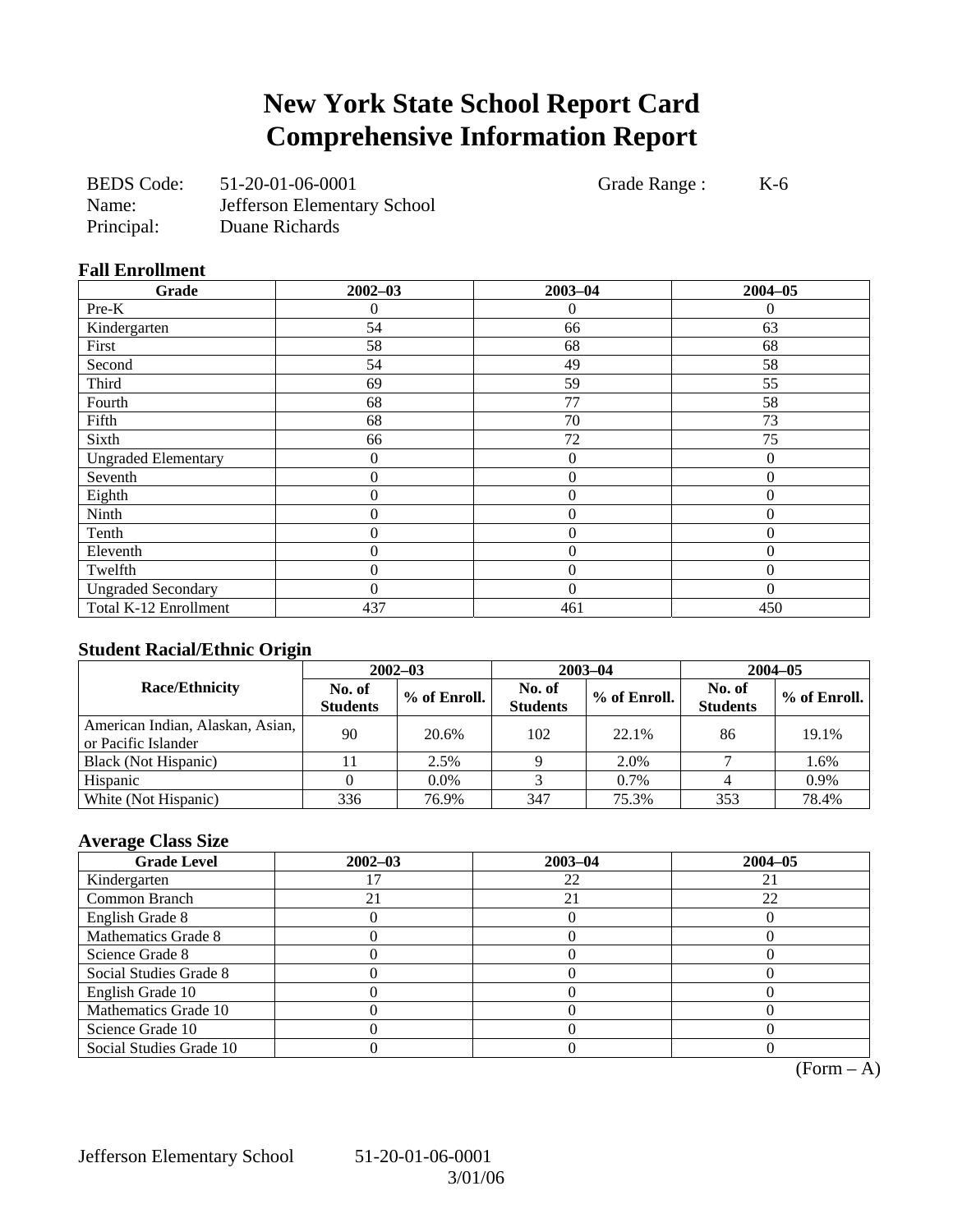# **New York State School Report Card Comprehensive Information Report**

| <b>BEDS</b> Code: | 51-20-01-06-0001            |
|-------------------|-----------------------------|
| Name:             | Jefferson Elementary School |
| Principal:        | Duane Richards              |

Grade Range : K-6

**Fall Enrollment** 

| um min viiniviiv           |                  |                |             |
|----------------------------|------------------|----------------|-------------|
| Grade                      | $2002 - 03$      | $2003 - 04$    | $2004 - 05$ |
| Pre-K                      | 0                | $\Omega$       | $\theta$    |
| Kindergarten               | 54               | 66             | 63          |
| First                      | 58               | 68             | 68          |
| Second                     | 54               | 49             | 58          |
| Third                      | 69               | 59             | 55          |
| Fourth                     | 68               | 77             | 58          |
| Fifth                      | 68               | 70             | 73          |
| Sixth                      | 66               | 72             | 75          |
| <b>Ungraded Elementary</b> | 0                | $\overline{0}$ | $\Omega$    |
| Seventh                    | $\boldsymbol{0}$ | $\mathbf{0}$   | $\theta$    |
| Eighth                     | $\overline{0}$   | $\overline{0}$ | $\Omega$    |
| Ninth                      | $\overline{0}$   | $\theta$       | $\Omega$    |
| Tenth                      | $\theta$         | $\theta$       | $\Omega$    |
| Eleventh                   | 0                | $\overline{0}$ | 0           |
| Twelfth                    | $\theta$         | $\theta$       | $\Omega$    |
| <b>Ungraded Secondary</b>  | 0                | $\theta$       | 0           |
| Total K-12 Enrollment      | 437              | 461            | 450         |

# **Student Racial/Ethnic Origin**

| ້                                                       | $2002 - 03$               |              |                           | $2003 - 04$  | $2004 - 05$               |              |
|---------------------------------------------------------|---------------------------|--------------|---------------------------|--------------|---------------------------|--------------|
| <b>Race/Ethnicity</b>                                   | No. of<br><b>Students</b> | % of Enroll. | No. of<br><b>Students</b> | % of Enroll. | No. of<br><b>Students</b> | % of Enroll. |
| American Indian, Alaskan, Asian,<br>or Pacific Islander | 90                        | 20.6%        | 102                       | 22.1%        | 86                        | 19.1%        |
| Black (Not Hispanic)                                    |                           | 2.5%         |                           | 2.0%         |                           | 1.6%         |
| Hispanic                                                |                           | $0.0\%$      |                           | 0.7%         |                           | 0.9%         |
| White (Not Hispanic)                                    | 336                       | 76.9%        | 347                       | 75.3%        | 353                       | 78.4%        |

# **Average Class Size**

| <b>Grade Level</b>      | $2002 - 03$ | $2003 - 04$ | $2004 - 05$ |
|-------------------------|-------------|-------------|-------------|
| Kindergarten            |             | 22          |             |
| Common Branch           |             | 21          | 22          |
| English Grade 8         |             |             |             |
| Mathematics Grade 8     |             |             |             |
| Science Grade 8         |             |             |             |
| Social Studies Grade 8  |             |             |             |
| English Grade 10        |             |             |             |
| Mathematics Grade 10    |             |             |             |
| Science Grade 10        |             |             |             |
| Social Studies Grade 10 |             |             |             |

 $\overline{(Form - A)}$ 

Jefferson Elementary School 51-20-01-06-0001

3/01/06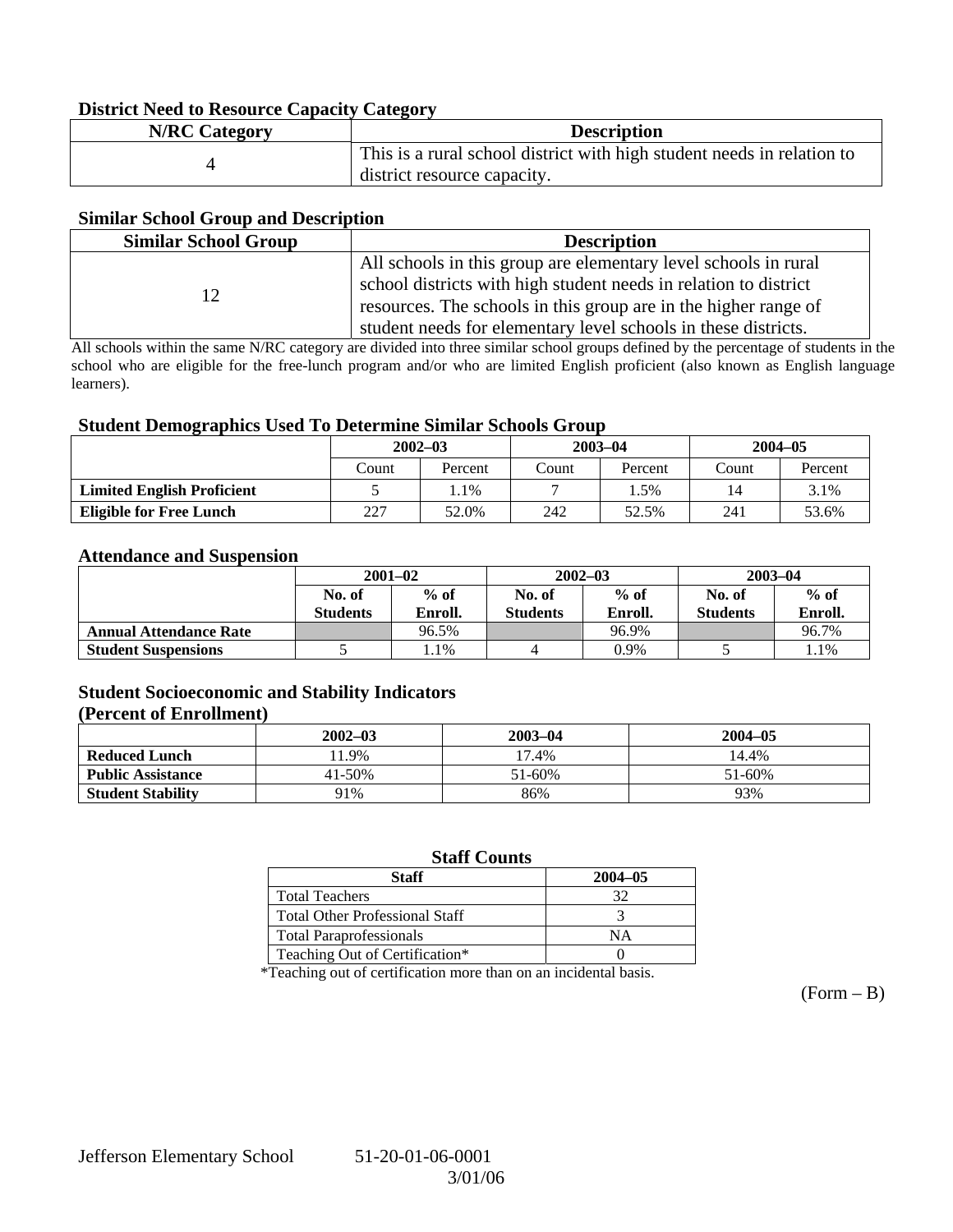### **District Need to Resource Capacity Category**

| <b>N/RC</b> Category | <b>Description</b>                                                     |
|----------------------|------------------------------------------------------------------------|
|                      | This is a rural school district with high student needs in relation to |
|                      | district resource capacity.                                            |

### **Similar School Group and Description**

| <b>Similar School Group</b> | <b>Description</b>                                                                                                                                                                                                                                                       |
|-----------------------------|--------------------------------------------------------------------------------------------------------------------------------------------------------------------------------------------------------------------------------------------------------------------------|
|                             | All schools in this group are elementary level schools in rural<br>school districts with high student needs in relation to district<br>resources. The schools in this group are in the higher range of<br>student needs for elementary level schools in these districts. |

All schools within the same N/RC category are divided into three similar school groups defined by the percentage of students in the school who are eligible for the free-lunch program and/or who are limited English proficient (also known as English language learners).

### **Student Demographics Used To Determine Similar Schools Group**

| ີ                                 |             |         |             |         |             |         |
|-----------------------------------|-------------|---------|-------------|---------|-------------|---------|
|                                   | $2002 - 03$ |         | $2003 - 04$ |         | $2004 - 05$ |         |
|                                   | Count       | Percent | Count       | Percent | Count       | Percent |
| <b>Limited English Proficient</b> |             | . . 1%  |             | .5%     | 14          | 3.1%    |
| <b>Eligible for Free Lunch</b>    | 227         | 52.0%   | 242         | 52.5%   | 241         | 53.6%   |

### **Attendance and Suspension**

|                               | $2001 - 02$               |                   |                           | $2002 - 03$       | $2003 - 04$               |                   |
|-------------------------------|---------------------------|-------------------|---------------------------|-------------------|---------------------------|-------------------|
|                               | No. of<br><b>Students</b> | $%$ of<br>Enroll. | No. of<br><b>Students</b> | $%$ of<br>Enroll. | No. of<br><b>Students</b> | $%$ of<br>Enroll. |
| <b>Annual Attendance Rate</b> |                           | 96.5%             |                           | 96.9%             |                           | 96.7%             |
| <b>Student Suspensions</b>    |                           | $1.1\%$           |                           | 0.9%              |                           | 1.1%              |

# **Student Socioeconomic and Stability Indicators**

#### **(Percent of Enrollment)**

|                          | $2002 - 03$ | $2003 - 04$ | $2004 - 05$ |
|--------------------------|-------------|-------------|-------------|
| <b>Reduced Lunch</b>     | 1.9%        | 17.4%       | 14.4%       |
| <b>Public Assistance</b> | 41-50%      | 51-60%      | 51-60%      |
| <b>Student Stability</b> | 91%         | 86%         | 93%         |

# **Staff Counts**

| Staff                                 | $2004 - 05$ |
|---------------------------------------|-------------|
| <b>Total Teachers</b>                 |             |
| <b>Total Other Professional Staff</b> |             |
| <b>Total Paraprofessionals</b>        | NΑ          |
| Teaching Out of Certification*        |             |

\*Teaching out of certification more than on an incidental basis.

 $(Form - B)$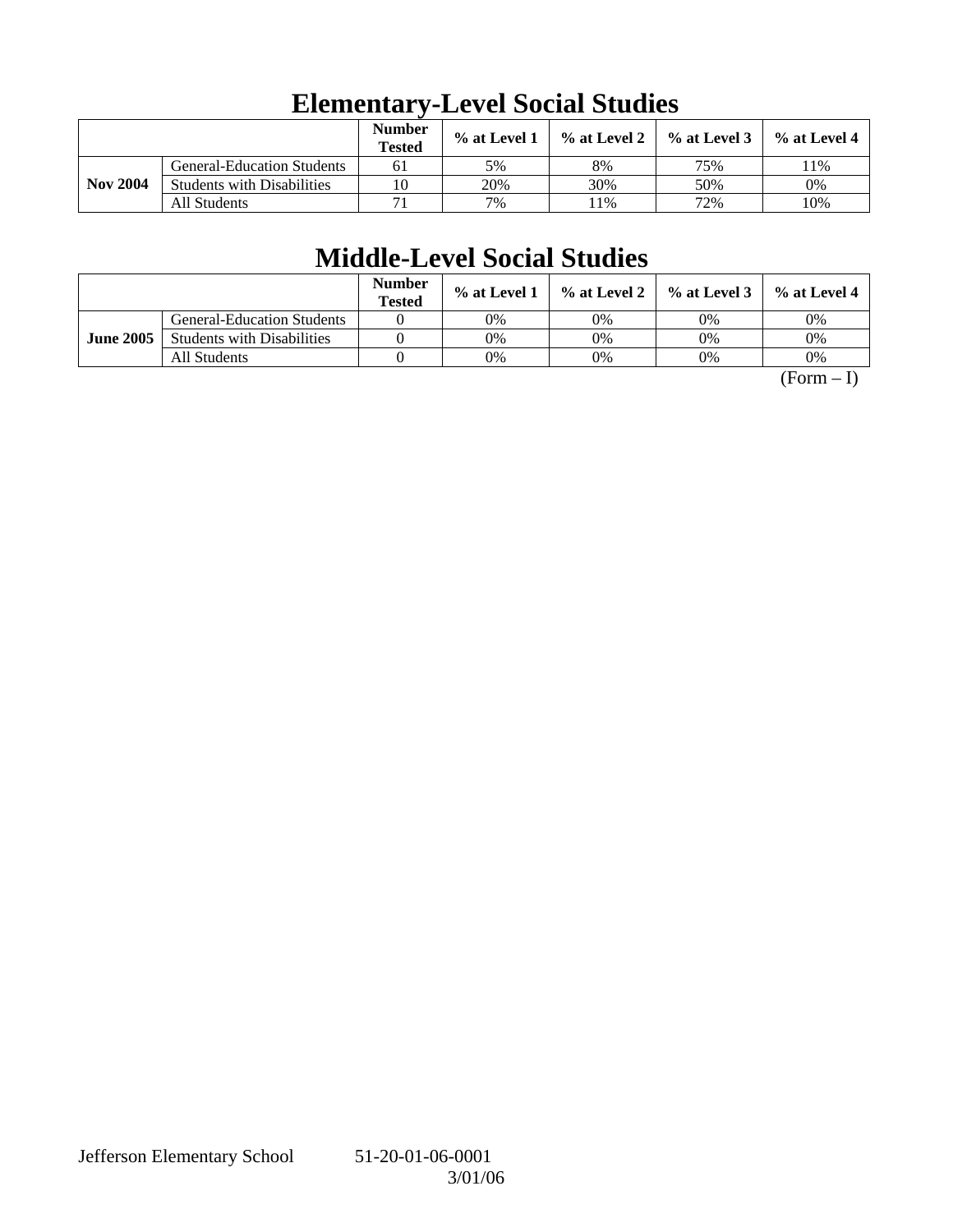|                 |                                   | <b>Number</b><br><b>Tested</b> | % at Level 1 | $\%$ at Level 2 | $%$ at Level 3 | $%$ at Level 4 |
|-----------------|-----------------------------------|--------------------------------|--------------|-----------------|----------------|----------------|
|                 | <b>General-Education Students</b> | 61                             | 5%           | 8%              | 75%            | $1\%$          |
| <b>Nov 2004</b> | <b>Students with Disabilities</b> | 10                             | 20%          | 30%             | 50%            | 0%             |
|                 | All Students                      |                                | 7%           | 1%              | 72%            | 10%            |

# **Elementary-Level Social Studies**

# **Middle-Level Social Studies**

|                  |                                   | <b>Number</b><br><b>Tested</b> | $\%$ at Level 1 |    | $\%$ at Level 2 $\%$ at Level 3 $\parallel$ | $%$ at Level 4 |
|------------------|-----------------------------------|--------------------------------|-----------------|----|---------------------------------------------|----------------|
|                  | <b>General-Education Students</b> |                                | 0%              | 0% | 0%                                          | 0%             |
| <b>June 2005</b> | <b>Students with Disabilities</b> |                                | 0%              | 0% | 0%                                          | 0%             |
|                  | All Students                      |                                | 0%              | 0% | 0%                                          | 0%             |

 $(Form - I)$